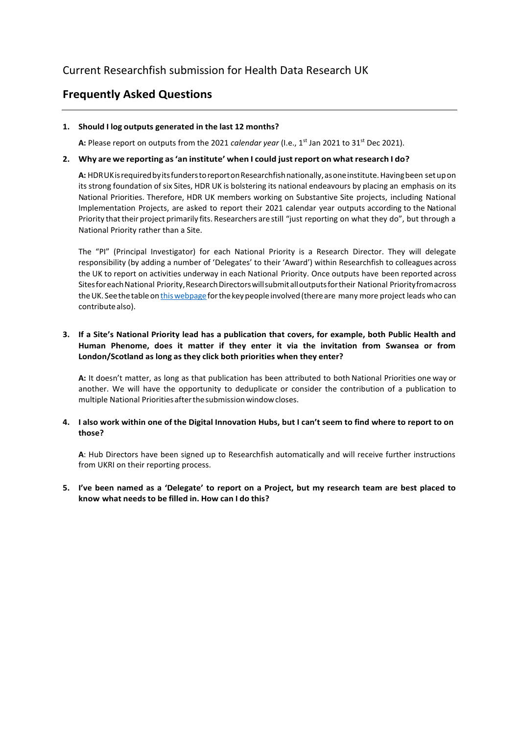# **Frequently Asked Questions**

## **1. Should I log outputs generated in the last 12 months?**

**A:** Please report on outputs from the 2021 *calendar year* (I.e., 1st Jan 2021 to 31st Dec 2021).

# **2. Why are we reporting as'an institute' when I could justreport on whatresearch I do?**

A: HDRUK is required by its funders to report on Research fish nationally, as one institute. Having been set up on its strong foundation of six Sites, HDR UK is bolstering its national endeavours by placing an emphasis on its National Priorities. Therefore, HDR UK members working on Substantive Site projects, including National Implementation Projects, are asked to report their 2021 calendar year outputs according to the National Priority that their project primarily fits. Researchers are still "just reporting on what they do", but through a National Priority rather than a Site.

The "PI" (Principal Investigator) for each National Priority is a Research Director. They will delegate responsibility (by adding a number of 'Delegates' to their 'Award') within Researchfish to colleagues across the UK to report on activities underway in each National Priority. Once outputs have been reported across Sites for each National Priority, Research Directors will submit all outputs for their National Priority fromacross the UK. See the table on this webpage for the key people involved (there are many more project leads who can contributealso).

# **3. If a Site's National Priority lead has a publication that covers, for example, both Public Health and Human Phenome, does it matter if they enter it via the invitation from Swansea or from London/Scotland as long as they click both priorities when they enter?**

**A:** It doesn't matter, as long as that publication has been attributed to both National Priorities one way or another. We will have the opportunity to deduplicate or consider the contribution of a publication to multiple National Priorities after the submission window closes.

## 4. I also work within one of the Digital Innovation Hubs, but I can't seem to find where to report to on **those?**

**A**: Hub Directors have been signed up to Researchfish automatically and will receive further instructions from UKRI on their reporting process.

**5. I've been named as a 'Delegate' to report on a Project, but my research team are best placed to know what needsto be filled in. How can I do this?**